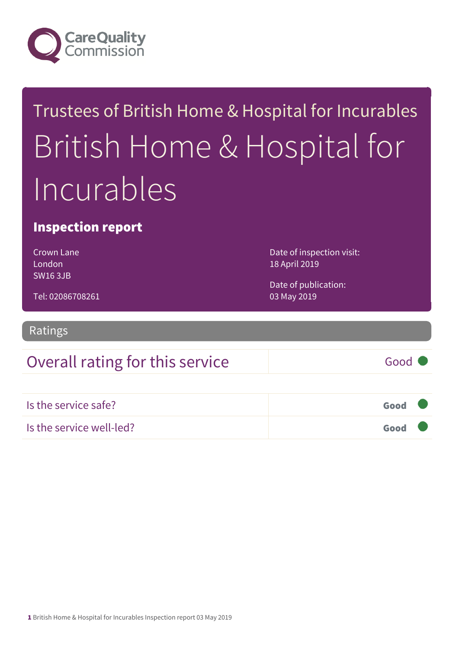

# Trustees of British Home & Hospital for Incurables British Home & Hospital for Incurables

#### Inspection report

Crown Lane London SW16 3JB

Date of inspection visit: 18 April 2019

Date of publication: 03 May 2019

Tel: 02086708261

Ratings

### Overall rating for this service Fig. 600 Good

| Is the service safe?     | Good |  |
|--------------------------|------|--|
| Is the service well-led? | Good |  |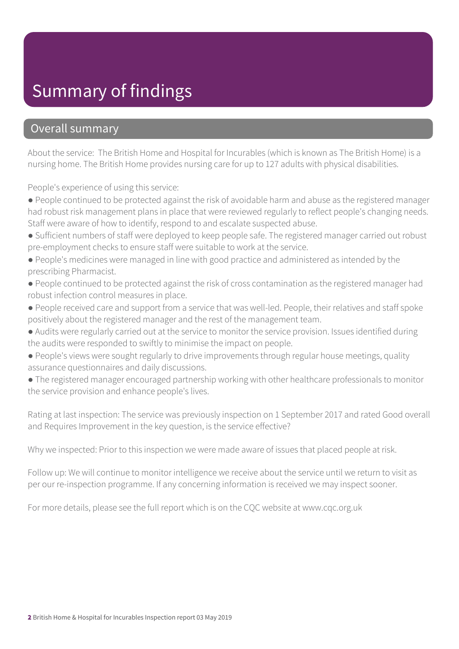## Summary of findings

#### Overall summary

About the service: The British Home and Hospital for Incurables (which is known as The British Home) is a nursing home. The British Home provides nursing care for up to 127 adults with physical disabilities.

People's experience of using this service:

- People continued to be protected against the risk of avoidable harm and abuse as the registered manager had robust risk management plans in place that were reviewed regularly to reflect people's changing needs. Staff were aware of how to identify, respond to and escalate suspected abuse.
- Sufficient numbers of staff were deployed to keep people safe. The registered manager carried out robust pre-employment checks to ensure staff were suitable to work at the service.
- People's medicines were managed in line with good practice and administered as intended by the prescribing Pharmacist.
- People continued to be protected against the risk of cross contamination as the registered manager had robust infection control measures in place.
- People received care and support from a service that was well-led. People, their relatives and staff spoke positively about the registered manager and the rest of the management team.
- Audits were regularly carried out at the service to monitor the service provision. Issues identified during the audits were responded to swiftly to minimise the impact on people.
- People's views were sought regularly to drive improvements through regular house meetings, quality assurance questionnaires and daily discussions.
- The registered manager encouraged partnership working with other healthcare professionals to monitor the service provision and enhance people's lives.

Rating at last inspection: The service was previously inspection on 1 September 2017 and rated Good overall and Requires Improvement in the key question, is the service effective?

Why we inspected: Prior to this inspection we were made aware of issues that placed people at risk.

Follow up: We will continue to monitor intelligence we receive about the service until we return to visit as per our re-inspection programme. If any concerning information is received we may inspect sooner.

For more details, please see the full report which is on the CQC website at www.cqc.org.uk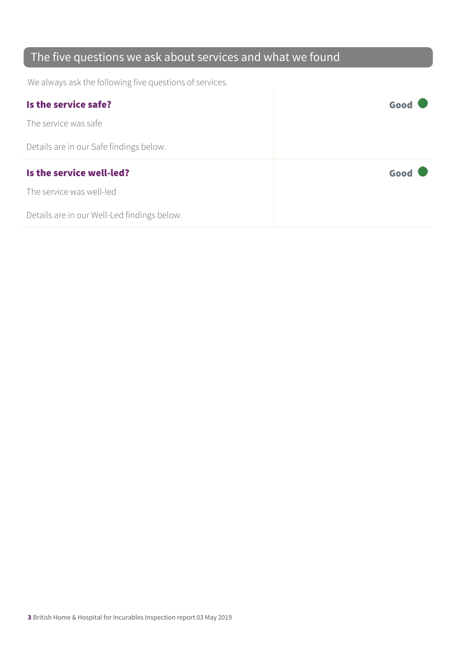### The five questions we ask about services and what we found

We always ask the following five questions of services.

| Is the service safe?                    | Good |
|-----------------------------------------|------|
| The service was safe                    |      |
| Details are in our Safe findings below. |      |
|                                         |      |
| Is the service well-led?                | Good |
| The service was well-led                |      |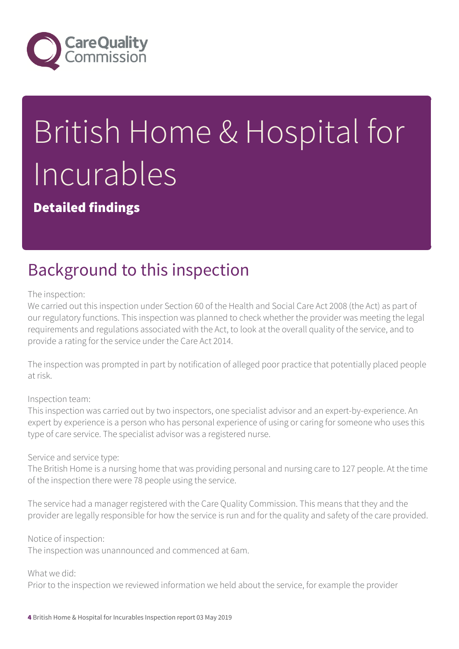

# British Home & Hospital for Incurables

Detailed findings

## Background to this inspection

The inspection:

We carried out this inspection under Section 60 of the Health and Social Care Act 2008 (the Act) as part of our regulatory functions. This inspection was planned to check whether the provider was meeting the legal requirements and regulations associated with the Act, to look at the overall quality of the service, and to provide a rating for the service under the Care Act 2014.

The inspection was prompted in part by notification of alleged poor practice that potentially placed people at risk.

Inspection team:

This inspection was carried out by two inspectors, one specialist advisor and an expert-by-experience. An expert by experience is a person who has personal experience of using or caring for someone who uses this type of care service. The specialist advisor was a registered nurse.

Service and service type:

The British Home is a nursing home that was providing personal and nursing care to 127 people. At the time of the inspection there were 78 people using the service.

The service had a manager registered with the Care Quality Commission. This means that they and the provider are legally responsible for how the service is run and for the quality and safety of the care provided.

Notice of inspection:

The inspection was unannounced and commenced at 6am.

What we did:

Prior to the inspection we reviewed information we held about the service, for example the provider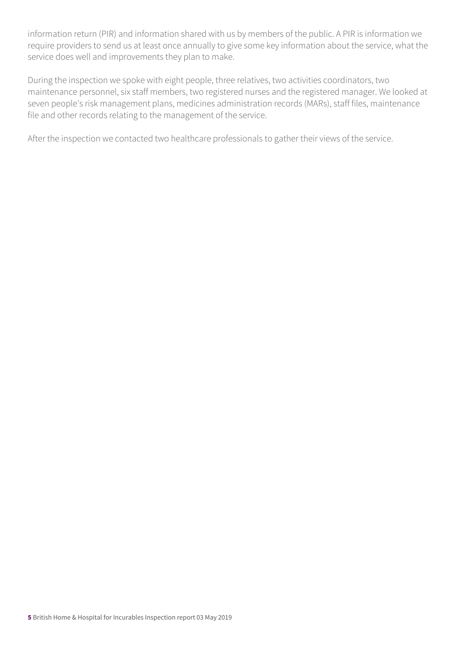information return (PIR) and information shared with us by members of the public. A PIR is information we require providers to send us at least once annually to give some key information about the service, what the service does well and improvements they plan to make.

During the inspection we spoke with eight people, three relatives, two activities coordinators, two maintenance personnel, six staff members, two registered nurses and the registered manager. We looked at seven people's risk management plans, medicines administration records (MARs), staff files, maintenance file and other records relating to the management of the service.

After the inspection we contacted two healthcare professionals to gather their views of the service.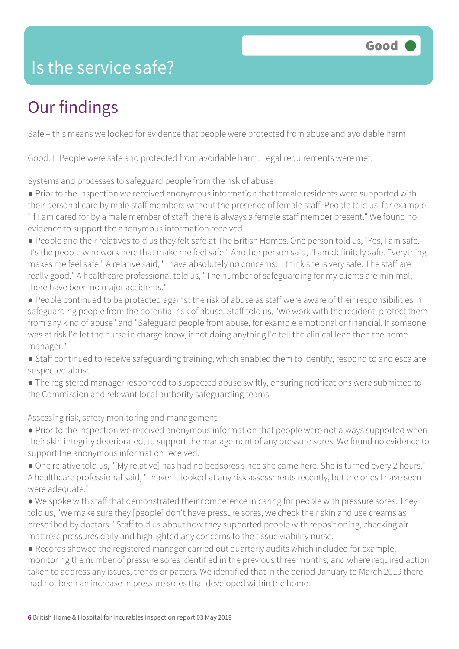## Is the service safe?

# Our findings

Safe – this means we looked for evidence that people were protected from abuse and avoidable harm

Good:  $\Box$  People were safe and protected from avoidable harm. Legal requirements were met.

Systems and processes to safeguard people from the risk of abuse

● Prior to the inspection we received anonymous information that female residents were supported with their personal care by male staff members without the presence of female staff. People told us, for example, "If I am cared for by a male member of staff, there is always a female staff member present." We found no evidence to support the anonymous information received.

● People and their relatives told us they felt safe at The British Homes. One person told us, "Yes, I am safe. It's the people who work here that make me feel safe." Another person said, "I am definitely safe. Everything makes me feel safe." A relative said, "I have absolutely no concerns. I think she is very safe. The staff are really good." A healthcare professional told us, "The number of safeguarding for my clients are minimal, there have been no major accidents."

● People continued to be protected against the risk of abuse as staff were aware of their responsibilities in safeguarding people from the potential risk of abuse. Staff told us, "We work with the resident, protect them from any kind of abuse" and "Safeguard people from abuse, for example emotional or financial. If someone was at risk I'd let the nurse in charge know, if not doing anything I'd tell the clinical lead then the home manager."

- Staff continued to receive safeguarding training, which enabled them to identify, respond to and escalate suspected abuse.
- The registered manager responded to suspected abuse swiftly, ensuring notifications were submitted to the Commission and relevant local authority safeguarding teams.

Assessing risk, safety monitoring and management

• Prior to the inspection we received anonymous information that people were not always supported when their skin integrity deteriorated, to support the management of any pressure sores. We found no evidence to support the anonymous information received.

● One relative told us, "[My relative] has had no bedsores since she came here. She is turned every 2 hours." A healthcare professional said, "I haven't looked at any risk assessments recently, but the ones I have seen were adequate."

● We spoke with staff that demonstrated their competence in caring for people with pressure sores. They told us, "We make sure they [people] don't have pressure sores, we check their skin and use creams as prescribed by doctors." Staff told us about how they supported people with repositioning, checking air mattress pressures daily and highlighted any concerns to the tissue viability nurse.

● Records showed the registered manager carried out quarterly audits which included for example, monitoring the number of pressure sores identified in the previous three months, and where required action taken to address any issues, trends or patters. We identified that in the period January to March 2019 there had not been an increase in pressure sores that developed within the home.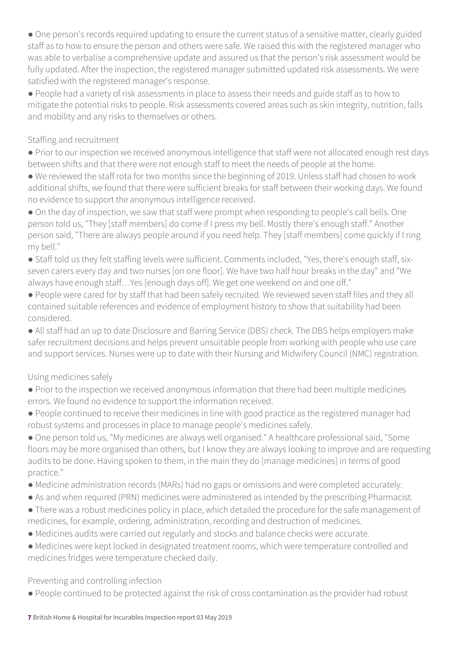● One person's records required updating to ensure the current status of a sensitive matter, clearly guided staff as to how to ensure the person and others were safe. We raised this with the registered manager who was able to verbalise a comprehensive update and assured us that the person's risk assessment would be fully updated. After the inspection, the registered manager submitted updated risk assessments. We were satisfied with the registered manager's response.

● People had a variety of risk assessments in place to assess their needs and guide staff as to how to mitigate the potential risks to people. Risk assessments covered areas such as skin integrity, nutrition, falls and mobility and any risks to themselves or others.

#### Staffing and recruitment

● Prior to our inspection we received anonymous intelligence that staff were not allocated enough rest days between shifts and that there were not enough staff to meet the needs of people at the home.

● We reviewed the staff rota for two months since the beginning of 2019. Unless staff had chosen to work additional shifts, we found that there were sufficient breaks for staff between their working days. We found no evidence to support the anonymous intelligence received.

• On the day of inspection, we saw that staff were prompt when responding to people's call bells. One person told us, "They [staff members] do come if I press my bell. Mostly there's enough staff." Another person said, "There are always people around if you need help. They [staff members] come quickly if I ring my bell."

● Staff told us they felt staffing levels were sufficient. Comments included, "Yes, there's enough staff, sixseven carers every day and two nurses [on one floor]. We have two half hour breaks in the day" and "We always have enough staff…Yes [enough days off]. We get one weekend on and one off."

● People were cared for by staff that had been safely recruited. We reviewed seven staff files and they all contained suitable references and evidence of employment history to show that suitability had been considered.

● All staff had an up to date Disclosure and Barring Service (DBS) check. The DBS helps employers make safer recruitment decisions and helps prevent unsuitable people from working with people who use care and support services. Nurses were up to date with their Nursing and Midwifery Council (NMC) registration.

#### Using medicines safely

- Prior to the inspection we received anonymous information that there had been multiple medicines errors. We found no evidence to support the information received.
- People continued to receive their medicines in line with good practice as the registered manager had robust systems and processes in place to manage people's medicines safely.

● One person told us, "My medicines are always well organised." A healthcare professional said, "Some floors may be more organised than others, but I know they are always looking to improve and are requesting audits to be done. Having spoken to them, in the main they do [manage medicines] in terms of good practice."

- Medicine administration records (MARs) had no gaps or omissions and were completed accurately.
- As and when required (PRN) medicines were administered as intended by the prescribing Pharmacist.
- There was a robust medicines policy in place, which detailed the procedure for the safe management of medicines, for example, ordering, administration, recording and destruction of medicines.
- Medicines audits were carried out regularly and stocks and balance checks were accurate.
- Medicines were kept locked in designated treatment rooms, which were temperature controlled and medicines fridges were temperature checked daily.

Preventing and controlling infection

● People continued to be protected against the risk of cross contamination as the provider had robust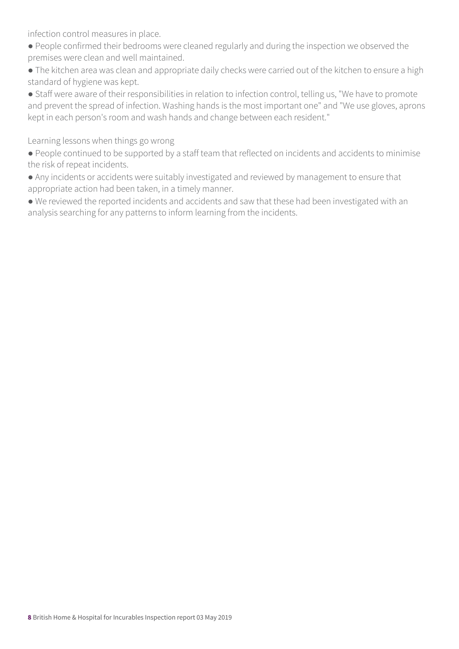infection control measures in place.

- People confirmed their bedrooms were cleaned regularly and during the inspection we observed the premises were clean and well maintained.
- The kitchen area was clean and appropriate daily checks were carried out of the kitchen to ensure a high standard of hygiene was kept.
- Staff were aware of their responsibilities in relation to infection control, telling us, "We have to promote and prevent the spread of infection. Washing hands is the most important one" and "We use gloves, aprons kept in each person's room and wash hands and change between each resident."

Learning lessons when things go wrong

- People continued to be supported by a staff team that reflected on incidents and accidents to minimise the risk of repeat incidents.
- Any incidents or accidents were suitably investigated and reviewed by management to ensure that appropriate action had been taken, in a timely manner.
- We reviewed the reported incidents and accidents and saw that these had been investigated with an analysis searching for any patterns to inform learning from the incidents.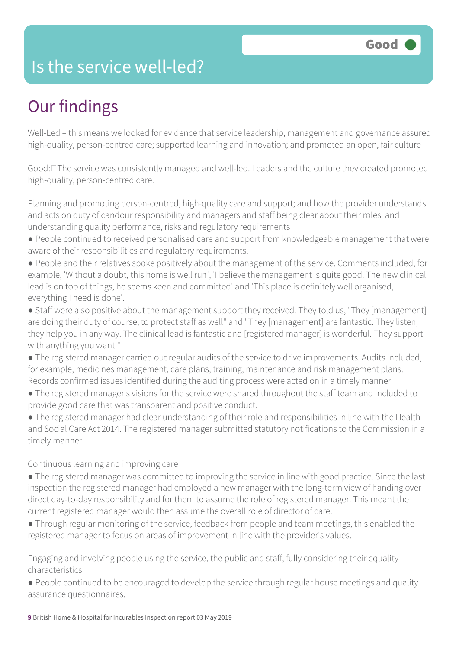## Is the service well-led?

# Our findings

Well-Led – this means we looked for evidence that service leadership, management and governance assured high-quality, person-centred care; supported learning and innovation; and promoted an open, fair culture

Good:  $\square$  The service was consistently managed and well-led. Leaders and the culture they created promoted high-quality, person-centred care.

Planning and promoting person-centred, high-quality care and support; and how the provider understands and acts on duty of candour responsibility and managers and staff being clear about their roles, and understanding quality performance, risks and regulatory requirements

- People continued to received personalised care and support from knowledgeable management that were aware of their responsibilities and regulatory requirements.
- People and their relatives spoke positively about the management of the service. Comments included, for example, 'Without a doubt, this home is well run', 'I believe the management is quite good. The new clinical lead is on top of things, he seems keen and committed' and 'This place is definitely well organised, everything I need is done'.
- Staff were also positive about the management support they received. They told us, "They [management] are doing their duty of course, to protect staff as well" and "They [management] are fantastic. They listen, they help you in any way. The clinical lead is fantastic and [registered manager] is wonderful. They support with anything you want."
- The registered manager carried out regular audits of the service to drive improvements. Audits included, for example, medicines management, care plans, training, maintenance and risk management plans. Records confirmed issues identified during the auditing process were acted on in a timely manner.
- The registered manager's visions for the service were shared throughout the staff team and included to provide good care that was transparent and positive conduct.
- The registered manager had clear understanding of their role and responsibilities in line with the Health and Social Care Act 2014. The registered manager submitted statutory notifications to the Commission in a timely manner.

#### Continuous learning and improving care

- The registered manager was committed to improving the service in line with good practice. Since the last inspection the registered manager had employed a new manager with the long-term view of handing over direct day-to-day responsibility and for them to assume the role of registered manager. This meant the current registered manager would then assume the overall role of director of care.
- Through regular monitoring of the service, feedback from people and team meetings, this enabled the registered manager to focus on areas of improvement in line with the provider's values.

Engaging and involving people using the service, the public and staff, fully considering their equality characteristics

● People continued to be encouraged to develop the service through regular house meetings and quality assurance questionnaires.